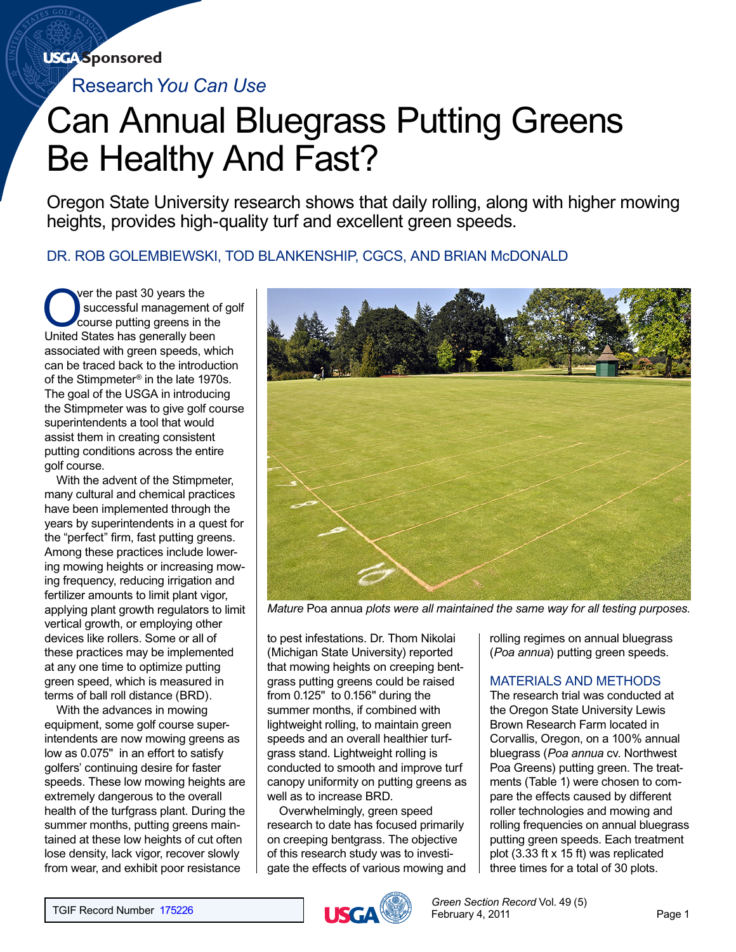# **USGA** Sponsored

Research*You Can Use*

# Can Annual Bluegrass Putting Greens Be Healthy And Fast?

Oregon State University research shows that daily rolling, along with higher mowing heights, provides high-quality turf and excellent green speeds.

DR. ROB GOLEMBIEWSKI, TOD BLANKENSHIP, CGCS, AND BRIAN McDONALD

Over the past 30 years the<br>
successful management of<br>
course putting greens in the<br>
United States has generally been successful management of golf United States has generally been associated with green speeds, which can be traced back to the introduction of the Stimpmeter® in the late 1970s. The goal of the USGA in introducing the Stimpmeter was to give golf course superintendents a tool that would assist them in creating consistent putting conditions across the entire golf course.

With the advent of the Stimpmeter, many cultural and chemical practices have been implemented through the years by superintendents in a quest for the "perfect" firm, fast putting greens. Among these practices include lowering mowing heights or increasing mowing frequency, reducing irrigation and fertilizer amounts to limit plant vigor, applying plant growth regulators to limit vertical growth, or employing other devices like rollers. Some or all of these practices may be implemented at any one time to optimize putting green speed, which is measured in terms of ball roll distance (BRD).

With the advances in mowing equipment, some golf course superintendents are now mowing greens as low as 0.075" in an effort to satisfy golfers' continuing desire for faster speeds. These low mowing heights are extremely dangerous to the overall health of the turfgrass plant. During the summer months, putting greens maintained at these low heights of cut often lose density, lack vigor, recover slowly from wear, and exhibit poor resistance



*Mature* Poa annua *plots were all maintained the same way for all testing purposes.*

to pest infestations. Dr. Thom Nikolai (Michigan State University) reported that mowing heights on creeping bentgrass putting greens could be raised from 0.125" to 0.156" during the summer months, if combined with lightweight rolling, to maintain green speeds and an overall healthier turfgrass stand. Lightweight rolling is conducted to smooth and improve turf canopy uniformity on putting greens as well as to increase BRD.

Overwhelmingly, green speed research to date has focused primarily on creeping bentgrass. The objective of this research study was to investigate the effects of various mowing and rolling regimes on annual bluegrass (*Poa annua*) putting green speeds.

# MATERIALS AND METHODS

The research trial was conducted at the Oregon State University Lewis Brown Research Farm located in Corvallis, Oregon, on a 100% annual bluegrass (*Poa annua* cv. Northwest Poa Greens) putting green. The treatments (Table 1) were chosen to compare the effects caused by different roller technologies and mowing and rolling frequencies on annual bluegrass putting green speeds. Each treatment plot (3.33 ft x 15 ft) was replicated three times for a total of 30 plots.

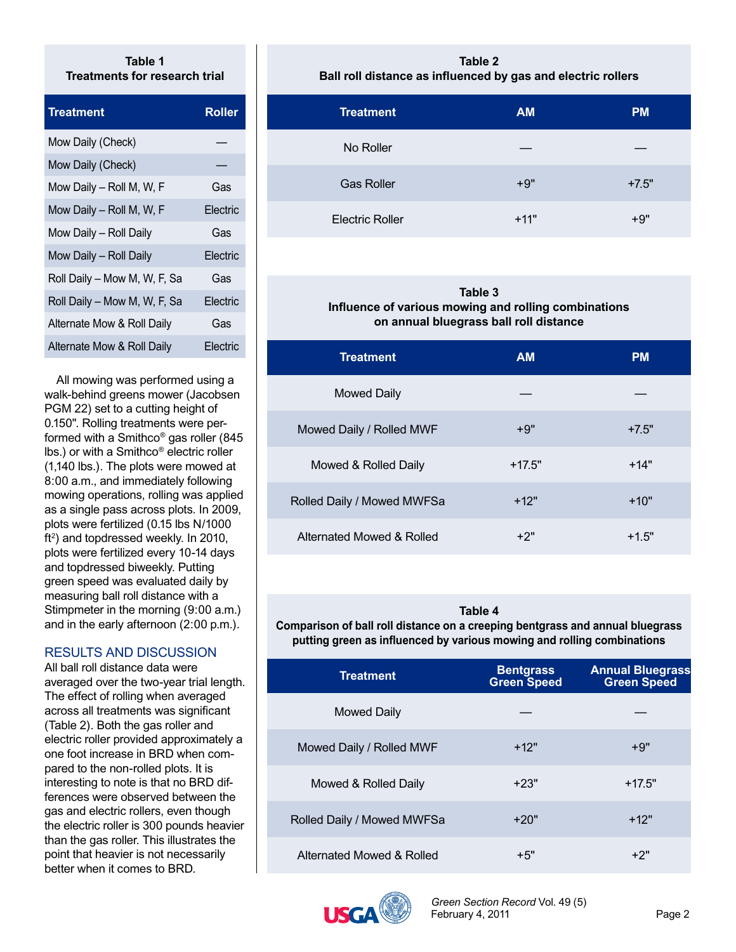### **Table 1 Treatments for research trial**

| <b>Treatment</b>             | Roller   |
|------------------------------|----------|
| Mow Daily (Check)            |          |
| Mow Daily (Check)            |          |
| Mow Daily - Roll M, W, F     | Gas      |
| Mow Daily - Roll M, W, F     | Electric |
| Mow Daily - Roll Daily       | Gas      |
| Mow Daily - Roll Daily       | Electric |
| Roll Daily - Mow M, W, F, Sa | Gas      |
| Roll Daily - Mow M, W, F, Sa | Electric |
| Alternate Mow & Roll Daily   | Gas      |
| Alternate Mow & Roll Daily   | Electric |

All mowing was performed using a walk-behind greens mower (Jacobsen PGM 22) set to a cutting height of 0.150". Rolling treatments were performed with a Smithco® gas roller (845 lbs.) or with a Smithco® electric roller (1,140 lbs.). The plots were mowed at 8:00 a.m., and immediately following mowing operations, rolling was applied as a single pass across plots. In 2009, plots were fertilized (0.15 lbs N/1000 ft<sup>2</sup>) and topdressed weekly. In 2010, plots were fertilized every 10-14 days and topdressed biweekly. Putting green speed was evaluated daily by measuring ball roll distance with a Stimpmeter in the morning (9:00 a.m.) and in the early afternoon (2:00 p.m.).

# RESULTS AND DISCUSSION

All ball roll distance data were averaged over the two-year trial length. The effect of rolling when averaged across all treatments was significant (Table 2). Both the gas roller and electric roller provided approximately a one foot increase in BRD when compared to the non-rolled plots. It is interesting to note is that no BRD differences were observed between the gas and electric rollers, even though the electric roller is 300 pounds heavier than the gas roller. This illustrates the point that heavier is not necessarily better when it comes to BRD.

#### **Table 2 Ball roll distance as influenced by gas and electric rollers**

| <b>Treatment</b>       | <b>AM</b> | <b>PM</b> |
|------------------------|-----------|-----------|
| No Roller              |           |           |
| <b>Gas Roller</b>      | $+9"$     | $+7.5"$   |
| <b>Electric Roller</b> | $+11"$    | $+9"$     |

### **Table 3 Influence of various mowing and rolling combinations on annual bluegrass ball roll distance**

| Treatment                  | <b>AM</b> | <b>PM</b> |
|----------------------------|-----------|-----------|
| Mowed Daily                |           |           |
| Mowed Daily / Rolled MWF   | $+9"$     | $+7.5"$   |
| Mowed & Rolled Daily       | $+17.5"$  | $+14"$    |
| Rolled Daily / Mowed MWFSa | $+12"$    | $+10"$    |
| Alternated Mowed & Rolled  | $+2"$     | $+1.5"$   |

# **Table 4**

**Comparison of ball roll distance on a creeping bentgrass and annual bluegrass**  putting green as influenced by various mowing and rolling combinations

| Treatment                  | <b>Bentgrass</b><br><b>Green Speed</b> | <b>Annual Bluegrass</b><br><b>Green Speed</b> |
|----------------------------|----------------------------------------|-----------------------------------------------|
| Mowed Daily                |                                        |                                               |
| Mowed Daily / Rolled MWF   | $+12"$                                 | $+9"$                                         |
| Mowed & Rolled Daily       | $+23"$                                 | $+17.5"$                                      |
| Rolled Daily / Mowed MWFSa | $+20"$                                 | $+12"$                                        |
| Alternated Mowed & Rolled  | +5"                                    | +2"                                           |